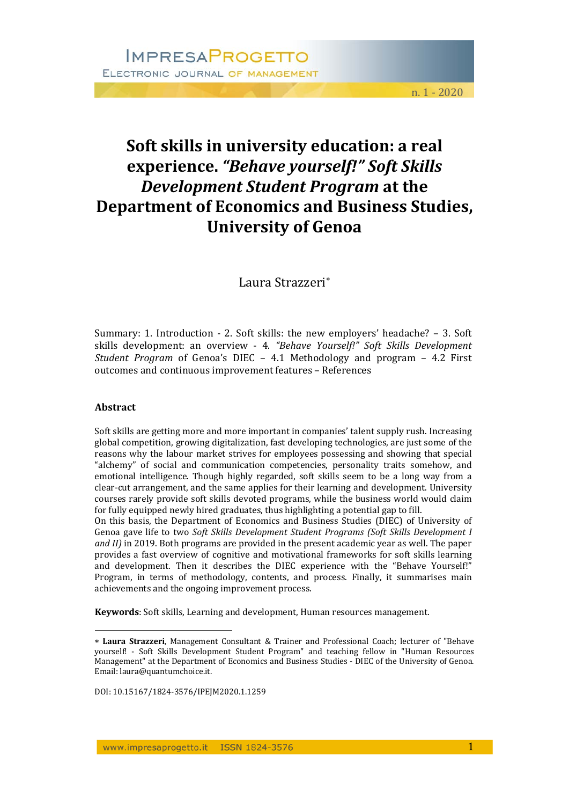# **Soft skills in university education: a real experience.** *"Behave yourself!" Soft Skills Development Student Program* **at the Department of Economics and Business Studies, University of Genoa**

Laura Strazzeri\*

Summary: 1. Introduction - 2. Soft skills: the new employers' headache? - 3. Soft skills development: an overview ‐ 4. *"Behave Yourself!" Soft Skills Development Student Program* of Genoa's DIEC - 4.1 Methodology and program - 4.2 First outcomes and continuous improvement features - References

#### **Abstract**

 $\overline{a}$ 

Soft skills are getting more and more important in companies' talent supply rush. Increasing global competition, growing digitalization, fast developing technologies, are just some of the reasons why the labour market strives for employees possessing and showing that special "alchemy" of social and communication competencies, personality traits somehow, and emotional intelligence. Though highly regarded, soft skills seem to be a long way from a clear-cut arrangement, and the same applies for their learning and development. University courses rarely provide soft skills devoted programs, while the business world would claim for fully equipped newly hired graduates, thus highlighting a potential gap to fill.

On this basis, the Department of Economics and Business Studies (DIEC) of University of Genoa gave life to two *Soft Skills Development Student Programs (Soft Skills Development I and II*) in 2019. Both programs are provided in the present academic year as well. The paper provides a fast overview of cognitive and motivational frameworks for soft skills learning and development. Then it describes the DIEC experience with the "Behave Yourself!" Program, in terms of methodology, contents, and process. Finally, it summarises main achievements and the ongoing improvement process.

**Keywords**: Soft skills, Learning and development, Human resources management.

DOI: 10.15167/1824‐3576/IPEJM2020.1.1259 

<sup>\*</sup> Laura Strazzeri, Management Consultant & Trainer and Professional Coach; lecturer of "Behave yourself! - Soft Skills Development Student Program" and teaching fellow in "Human Resources Management" at the Department of Economics and Business Studies - DIEC of the University of Genoa. Email: laura@quantumchoice.it.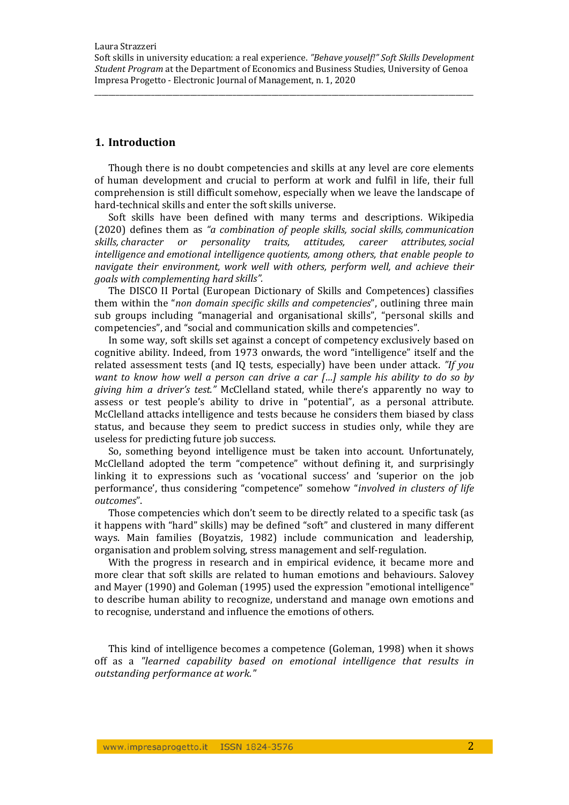## **1. Introduction**

Though there is no doubt competencies and skills at any level are core elements of human development and crucial to perform at work and fulfil in life, their full comprehension is still difficult somehow, especially when we leave the landscape of hard-technical skills and enter the soft skills universe.

Soft skills have been defined with many terms and descriptions. Wikipedia (2020) defines them as *"a combination of people skills, social skills, communication skills, character or personality traits, attitudes, career attributes, social intelligence and emotional intelligence quotients, among others, that enable people to navigate their environment, work well with others, perform well, and achieve their goals with complementing hard skills".*

The DISCO II Portal (European Dictionary of Skills and Competences) classifies them within the "*non domain specific skills and competencies*", outlining three main sub groups including "managerial and organisational skills", "personal skills and competencies", and "social and communication skills and competencies".

In some way, soft skills set against a concept of competency exclusively based on cognitive ability. Indeed, from 1973 onwards, the word "intelligence" itself and the related assessment tests (and IQ tests, especially) have been under attack. *"If you want to know how well a person can drive a car […] sample his ability to do so by giving him a driver's test."* McClelland stated, while there's apparently no way to assess or test people's ability to drive in "potential", as a personal attribute. McClelland attacks intelligence and tests because he considers them biased by class status, and because they seem to predict success in studies only, while they are useless for predicting future job success.

So, something beyond intelligence must be taken into account. Unfortunately, McClelland adopted the term "competence" without defining it, and surprisingly linking it to expressions such as 'vocational success' and 'superior on the job performance', thus considering "competence" somehow "*involved in clusters of life outcomes*". 

Those competencies which don't seem to be directly related to a specific task (as it happens with "hard" skills) may be defined "soft" and clustered in many different ways. Main families (Boyatzis, 1982) include communication and leadership, organisation and problem solving, stress management and self-regulation.

With the progress in research and in empirical evidence, it became more and more clear that soft skills are related to human emotions and behaviours. Salovey and Mayer (1990) and Goleman (1995) used the expression "emotional intelligence" to describe human ability to recognize, understand and manage own emotions and to recognise, understand and influence the emotions of others.

This kind of intelligence becomes a competence (Goleman, 1998) when it shows off as a *"learned capability based on emotional intelligence that results in outstanding performance at work."*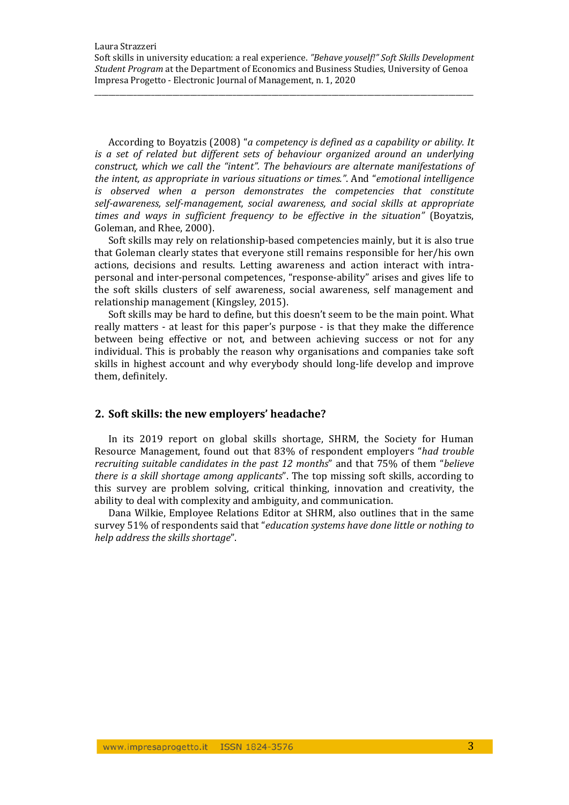\_\_\_\_\_\_\_\_\_\_\_\_\_\_\_\_\_\_\_\_\_\_\_\_\_\_\_\_\_\_\_\_\_\_\_\_\_\_\_\_\_\_\_\_\_\_\_\_\_\_\_\_\_\_\_\_\_\_\_\_\_\_\_\_\_\_\_\_\_\_\_\_\_\_\_\_\_\_\_\_\_\_\_\_\_\_\_\_\_\_\_\_\_\_\_\_\_\_\_\_\_\_\_\_\_\_\_

According to Boyatzis (2008) "*a competency is defined as a capability or ability. It is a set of related but different sets of behaviour organized around an underlying construct, which we call the "intent". The behaviours are alternate manifestations of the intent, as appropriate in various situations or times."*. And "*emotional intelligence is observed when a person demonstrates the competencies that constitute self‐awareness, self‐management, social awareness, and social skills at appropriate times and ways in sufficient frequency to be effective in the situation"* (Boyatzis, Goleman, and Rhee, 2000).

Soft skills may rely on relationship-based competencies mainly, but it is also true that Goleman clearly states that everyone still remains responsible for her/his own actions, decisions and results. Letting awareness and action interact with intrapersonal and inter-personal competences, "response-ability" arises and gives life to the soft skills clusters of self awareness, social awareness, self management and relationship management (Kingsley, 2015).

Soft skills may be hard to define, but this doesn't seem to be the main point. What really matters - at least for this paper's purpose - is that they make the difference between being effective or not, and between achieving success or not for any individual. This is probably the reason why organisations and companies take soft skills in highest account and why everybody should long-life develop and improve them, definitely.

## **2. Soft skills: the new employers' headache?**

In its 2019 report on global skills shortage, SHRM, the Society for Human Resource Management, found out that 83% of respondent employers "*had trouble recruiting suitable candidates in the past 12 months*" and that 75% of them "*believe there is a skill shortage among applicants*". The *top* missing soft *skills*, according to this survey are problem solving, critical thinking, innovation and creativity, the ability to deal with complexity and ambiguity, and communication.

Dana Wilkie, Employee Relations Editor at SHRM, also outlines that in the same survey 51% of respondents said that "*education systems have done little or nothing to help address the skills shortage*".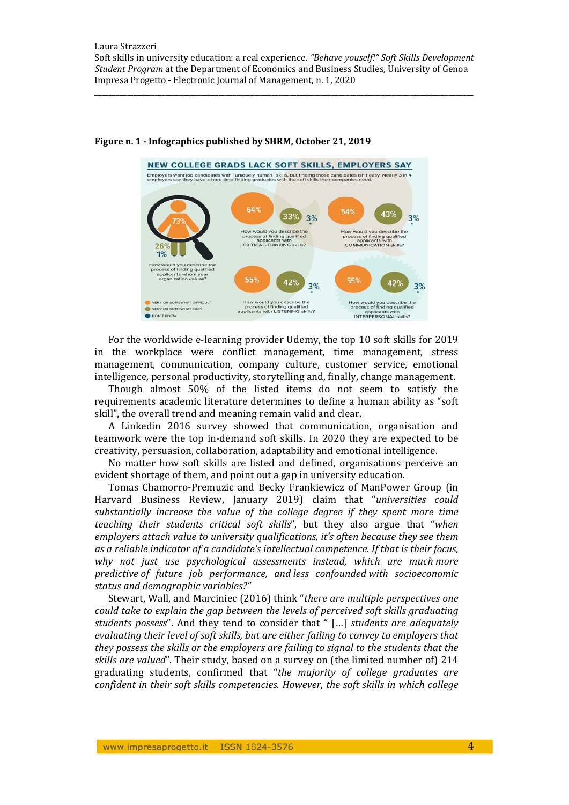

#### **Figure n. 1 ‐ Infographics published by SHRM, October 21, 2019**

For the worldwide e-learning provider Udemy, the top 10 soft skills for 2019 in the workplace were conflict management, time management, stress management, communication, company culture, customer service, emotional intelligence, personal productivity, storytelling and, finally, change management.

Though almost 50% of the listed items do not seem to satisfy the requirements academic literature determines to define a human ability as "soft" skill", the overall trend and meaning remain valid and clear.

A Linkedin 2016 survey showed that communication, organisation and teamwork were the top in-demand soft skills. In 2020 they are expected to be creativity, persuasion, collaboration, adaptability and emotional intelligence.

No matter how soft skills are listed and defined, organisations perceive an evident shortage of them, and point out a gap in university education.

Tomas Chamorro-Premuzic and Becky Frankiewicz of ManPower Group (in Harvard Business Review, January 2019) claim that "*universities could substantially increase the value of the college degree if they spent more time teaching their students critical soft skills*", but they also argue that "*when employers attach value to university qualifications, it's often because they see them as a reliable indicator of a candidate's intellectual competence. If that is their focus, why not just use psychological assessments instead, which are much more predictive of future job performance, and less confounded with socioeconomic status and demographic variables?"*

Stewart, Wall, and Marciniec (2016) think "*there are multiple perspectives one could take to explain the gap between the levels of perceived soft skills graduating students possess*". And they tend to consider that " […] *students are adequately evaluating their level of soft skills, but are either failing to convey to employers that they possess the skills or the employers are failing to signal to the students that the skills* are *valued*". Their study, based on a survey on (the limited number of) 214 graduating students, confirmed that "*the majority of college graduates are confident in their soft skills competencies. However, the soft skills in which college*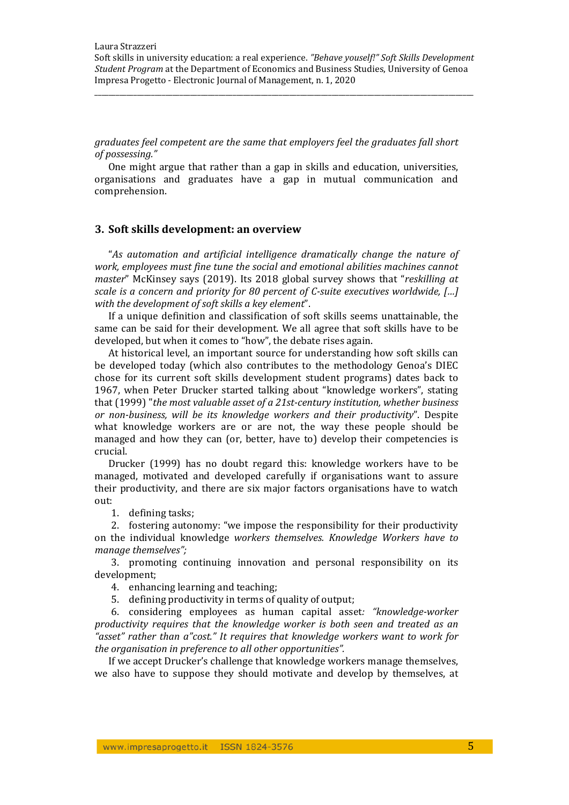*graduates feel competent are the same that employers feel the graduates fall short of possessing."*

One might argue that rather than a gap in skills and education, universities, organisations and graduates have a gap in mutual communication and comprehension. 

#### **3. Soft skills development: an overview**

"*As automation and artificial intelligence dramatically change the nature of work, employees must fine tune the social and emotional abilities machines cannot master*" McKinsey says (2019). Its 2018 global survey shows that "reskilling at *scale is a concern and priority for 80 percent of C‐suite executives worldwide, […] with the development of soft skills a key element*". 

If a unique definition and classification of soft skills seems unattainable, the same can be said for their development. We all agree that soft skills have to be developed, but when it comes to "how", the debate rises again.

At historical level, an important source for understanding how soft skills can be developed today (which also contributes to the methodology Genoa's DIEC chose for its current soft skills development student programs) dates back to 1967, when Peter Drucker started talking about "knowledge workers", stating that (1999) "*the most valuable asset of a 21st‐century institution, whether business or non‐business, will be its knowledge workers and their productivity*". Despite what knowledge workers are or are not, the way these people should be managed and how they can (or, better, have to) develop their competencies is crucial. 

Drucker  $(1999)$  has no doubt regard this: knowledge workers have to be managed, motivated and developed carefully if organisations want to assure their productivity, and there are six major factors organisations have to watch out: 

1. defining tasks;

2. fostering autonomy: "we impose the responsibility for their productivity on the individual knowledge *workers themselves. Knowledge Workers have to manage themselves";*

3. promoting continuing innovation and personal responsibility on its development; 

4. enhancing learning and teaching.

5. defining productivity in terms of quality of output;

6. considering employees as human capital asset*: "knowledge‐worker productivity requires that the knowledge worker is both seen and treated as an "asset" rather than a"cost." It requires that knowledge workers want to work for the organisation in preference to all other opportunities".*

If we accept Drucker's challenge that knowledge workers manage themselves, we also have to suppose they should motivate and develop by themselves, at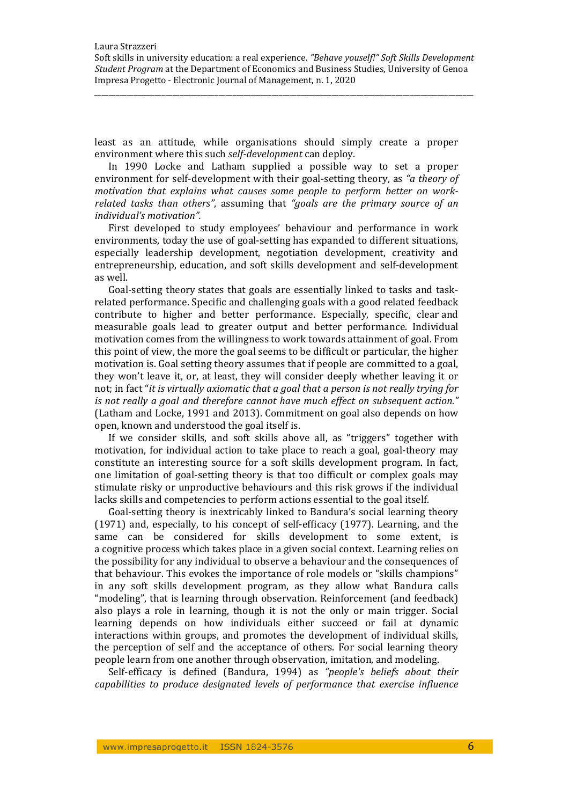\_\_\_\_\_\_\_\_\_\_\_\_\_\_\_\_\_\_\_\_\_\_\_\_\_\_\_\_\_\_\_\_\_\_\_\_\_\_\_\_\_\_\_\_\_\_\_\_\_\_\_\_\_\_\_\_\_\_\_\_\_\_\_\_\_\_\_\_\_\_\_\_\_\_\_\_\_\_\_\_\_\_\_\_\_\_\_\_\_\_\_\_\_\_\_\_\_\_\_\_\_\_\_\_\_\_\_

least as an attitude, while organisations should simply create a proper environment where this such *self-development* can deploy.

In 1990 Locke and Latham supplied a possible way to set a proper environment for self-development with their goal-setting theory, as "*a theory of motivation that explains what causes some people to perform better on work‐ related tasks than others"*, assuming that *"goals are the primary source of an individual's motivation".*

First developed to study employees' behaviour and performance in work environments, today the use of goal-setting has expanded to different situations, especially leadership development, negotiation development, creativity and entrepreneurship, education, and soft skills development and self-development as well.

Goal-setting theory states that goals are essentially linked to tasks and taskrelated performance. Specific and challenging goals with a good related feedback contribute to higher and better performance. Especially, specific, clear and measurable goals lead to greater output and better performance. Individual motivation comes from the willingness to work towards attainment of goal. From this point of view, the more the goal seems to be difficult or particular, the higher motivation is. Goal setting theory assumes that if people are committed to a goal, they won't leave it, or, at least, they will consider deeply whether leaving it or not; in fact "*it is virtually axiomatic that a goal that a person is not really trying for is not really a goal and therefore cannot have much effect on subsequent action."* (Latham and Locke, 1991 and 2013). Commitment on goal also depends on how open, known and understood the goal itself is.

If we consider skills, and soft skills above all, as "triggers" together with motivation, for individual action to take place to reach a goal, goal-theory may constitute an interesting source for a soft skills development program. In fact, one limitation of goal-setting theory is that too difficult or complex goals may stimulate risky or unproductive behaviours and this risk grows if the individual lacks skills and competencies to perform actions essential to the goal itself.

Goal-setting theory is inextricably linked to Bandura's social learning theory (1971) and, especially, to his concept of self-efficacy (1977). Learning, and the same can be considered for skills development to some extent, is a cognitive process which takes place in a given social context. Learning relies on the possibility for any individual to observe a behaviour and the consequences of that behaviour. This evokes the importance of role models or "skills champions" in any soft skills development program, as they allow what Bandura calls "modeling", that is learning through observation. Reinforcement (and feedback) also plays a role in learning, though it is not the only or main trigger. Social learning depends on how individuals either succeed or fail at dynamic interactions within groups, and promotes the development of individual skills, the perception of self and the acceptance of others. For social learning theory people learn from one another through observation, imitation, and modeling.

Self‐efficacy is defined (Bandura, 1994) as *"people's beliefs about their capabilities to produce designated levels of performance that exercise influence*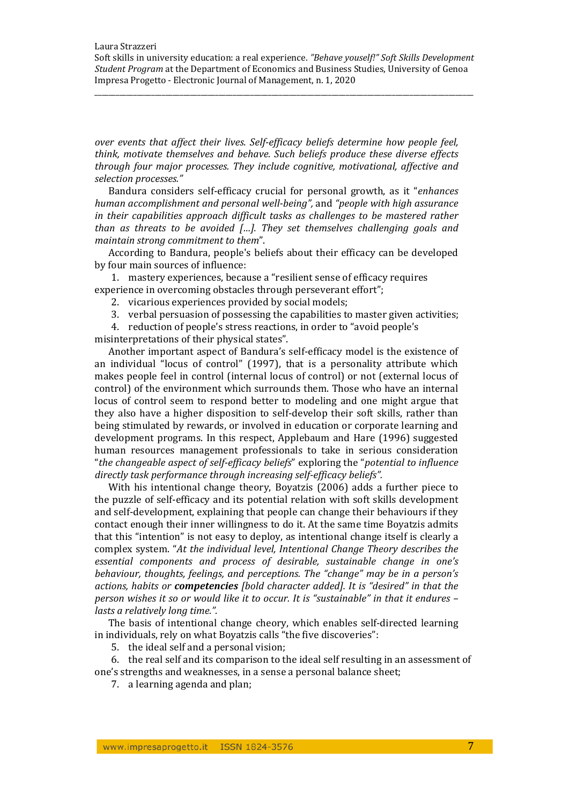\_\_\_\_\_\_\_\_\_\_\_\_\_\_\_\_\_\_\_\_\_\_\_\_\_\_\_\_\_\_\_\_\_\_\_\_\_\_\_\_\_\_\_\_\_\_\_\_\_\_\_\_\_\_\_\_\_\_\_\_\_\_\_\_\_\_\_\_\_\_\_\_\_\_\_\_\_\_\_\_\_\_\_\_\_\_\_\_\_\_\_\_\_\_\_\_\_\_\_\_\_\_\_\_\_\_\_

*over events that affect their lives. Self‐efficacy beliefs determine how people feel, think, motivate themselves and behave. Such beliefs produce these diverse effects through four major processes. They include cognitive, motivational, affective and selection processes."*

Bandura considers self-efficacy crucial for personal growth, as it "*enhances human accomplishment and personal well‐being",* and *"people with high assurance in their capabilities approach difficult tasks as challenges to be mastered rather than as threats to be avoided […]. They set themselves challenging goals and maintain strong commitment to them*". 

According to Bandura, people's beliefs about their efficacy can be developed by four main sources of influence:

1. mastery experiences, because a "resilient sense of efficacy requires experience in overcoming obstacles through perseverant effort";

- 2. vicarious experiences provided by social models;
- 3. verbal persuasion of possessing the capabilities to master given activities;

4. reduction of people's stress reactions, in order to "avoid people's

misinterpretations of their physical states".

Another important aspect of Bandura's self-efficacy model is the existence of an individual "locus of control" (1997), that is a personality attribute which makes people feel in control (internal locus of control) or not (external locus of control) of the environment which surrounds them. Those who have an internal locus of control seem to respond better to modeling and one might argue that they also have a higher disposition to self-develop their soft skills, rather than being stimulated by rewards, or involved in education or corporate learning and development programs. In this respect, Applebaum and Hare (1996) suggested human resources management professionals to take in serious consideration "*the changeable aspect of self‐efficacy beliefs*" exploring the "*potential to influence directly task performance through increasing self‐efficacy beliefs".*

With his intentional change theory, Boyatzis  $(2006)$  adds a further piece to the puzzle of self-efficacy and its potential relation with soft skills development and self-development, explaining that people can change their behaviours if they contact enough their inner willingness to do it. At the same time Boyatzis admits that this "intention" is not easy to deploy, as intentional change itself is clearly a complex system. "*At the individual level, Intentional Change Theory describes the essential components and process of desirable, sustainable change in one's behaviour, thoughts, feelings, and perceptions. The "change" may be in a person's actions, habits or competencies [bold character added]. It is "desired" in that the person wishes it so or would like it to occur. It is "sustainable" in that it endures – lasts a relatively long time.".*

The basis of intentional change cheory, which enables self-directed learning in individuals, rely on what Boyatzis calls "the five discoveries":

5. the ideal self and a personal vision;

6. the real self and its comparison to the ideal self resulting in an assessment of one's strengths and weaknesses, in a sense a personal balance sheet;

7. a learning agenda and plan;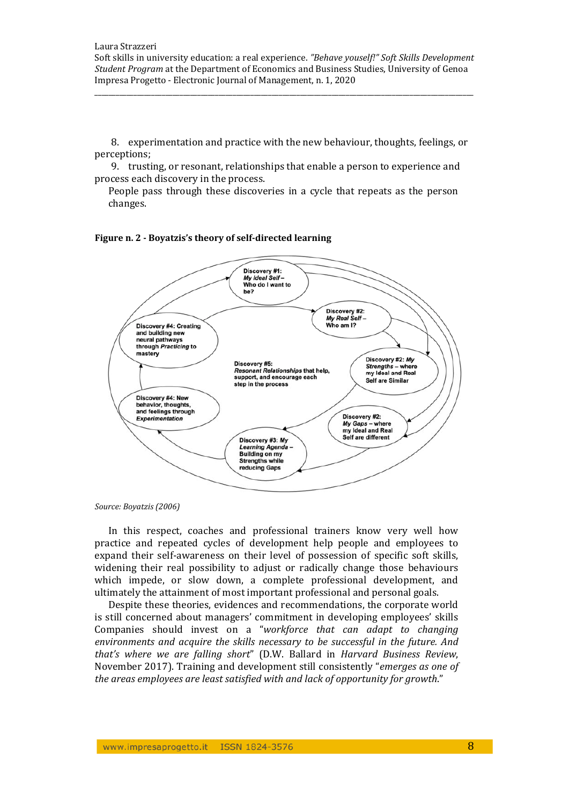\_\_\_\_\_\_\_\_\_\_\_\_\_\_\_\_\_\_\_\_\_\_\_\_\_\_\_\_\_\_\_\_\_\_\_\_\_\_\_\_\_\_\_\_\_\_\_\_\_\_\_\_\_\_\_\_\_\_\_\_\_\_\_\_\_\_\_\_\_\_\_\_\_\_\_\_\_\_\_\_\_\_\_\_\_\_\_\_\_\_\_\_\_\_\_\_\_\_\_\_\_\_\_\_\_\_\_

8. experimentation and practice with the new behaviour, thoughts, feelings, or perceptions; 

9. trusting, or resonant, relationships that enable a person to experience and process each discovery in the process.

People pass through these discoveries in a cycle that repeats as the person changes. 





*Source: Boyatzis (2006)*

In this respect, coaches and professional trainers know very well how practice and repeated cycles of development help people and employees to expand their self-awareness on their level of possession of specific soft skills, widening their real possibility to adjust or radically change those behaviours which impede, or slow down, a complete professional development, and ultimately the attainment of most important professional and personal goals.

Despite these theories, evidences and recommendations, the corporate world is still concerned about managers' commitment in developing employees' skills Companies should invest on a "*workforce that can adapt to changing environments and acquire the skills necessary to be successful in the future. And that's where we are falling short*" (D.W. Ballard in *Harvard Business Review*, November 2017). Training and development still consistently "*emerges* as one of *the areas employees are least satisfied with and lack of opportunity for growth*."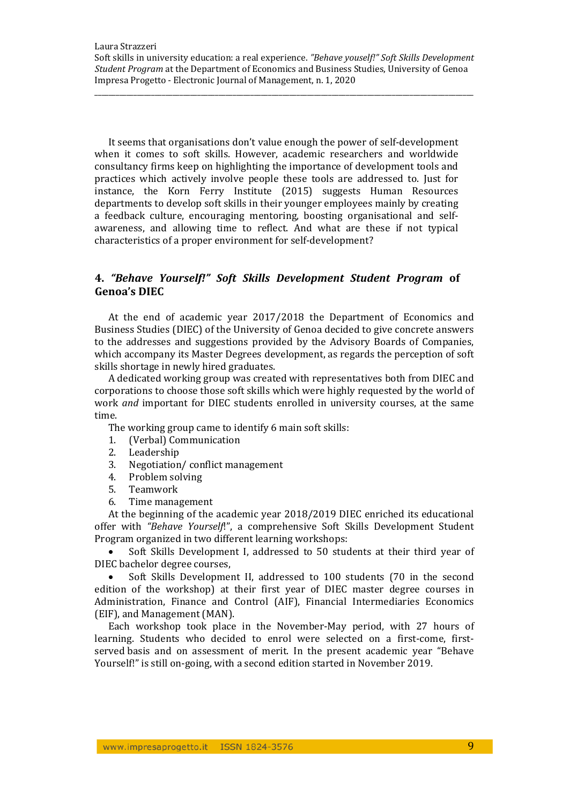It seems that organisations don't value enough the power of self-development when it comes to soft skills. However, academic researchers and worldwide consultancy firms keep on highlighting the importance of development tools and practices which actively involve people these tools are addressed to. Just for instance, the Korn Ferry Institute (2015) suggests Human Resources departments to develop soft skills in their younger employees mainly by creating a feedback culture, encouraging mentoring, boosting organisational and selfawareness, and allowing time to reflect. And what are these if not typical characteristics of a proper environment for self-development?

## **4.** *"Behave Yourself!" Soft Skills Development Student Program* **of Genoa's DIEC**

At the end of academic year 2017/2018 the Department of Economics and Business Studies (DIEC) of the University of Genoa decided to give concrete answers to the addresses and suggestions provided by the Advisory Boards of Companies, which accompany its Master Degrees development, as regards the perception of soft skills shortage in newly hired graduates.

A dedicated working group was created with representatives both from DIEC and corporations to choose those soft skills which were highly requested by the world of work *and* important for DIEC students enrolled in university courses, at the same time. 

The working group came to identify 6 main soft skills:

- 1. (Verbal) Communication
- 2. Leadership
- 3. Negotiation/conflict management
- 4. Problem solving
- 5. Teamwork
- 6. Time management

At the beginning of the academic year  $2018/2019$  DIEC enriched its educational offer with "Behave Yourself!", a comprehensive Soft Skills Development Student Program organized in two different learning workshops:

Soft Skills Development I, addressed to 50 students at their third year of DIEC bachelor degree courses.

Soft Skills Development II, addressed to 100 students (70 in the second edition of the workshop) at their first year of DIEC master degree courses in Administration, Finance and Control (AIF), Financial Intermediaries Economics (EIF), and Management (MAN).

Each workshop took place in the November-May period, with 27 hours of learning. Students who decided to enrol were selected on a first-come, firstserved basis and on assessment of merit. In the present academic year "Behave Yourself!" is still on-going, with a second edition started in November 2019.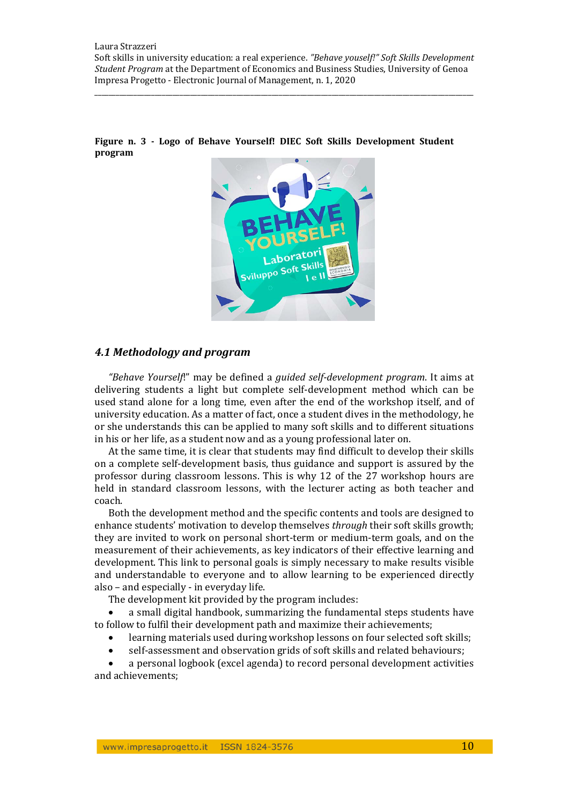\_\_\_\_\_\_\_\_\_\_\_\_\_\_\_\_\_\_\_\_\_\_\_\_\_\_\_\_\_\_\_\_\_\_\_\_\_\_\_\_\_\_\_\_\_\_\_\_\_\_\_\_\_\_\_\_\_\_\_\_\_\_\_\_\_\_\_\_\_\_\_\_\_\_\_\_\_\_\_\_\_\_\_\_\_\_\_\_\_\_\_\_\_\_\_\_\_\_\_\_\_\_\_\_\_\_\_



**Figure n. 3 ‐ Logo of Behave Yourself! DIEC Soft Skills Development Student program**

## *4.1 Methodology and program*

*"Behave Yourself*!" may be defined a *guided self‐development program*. It aims at delivering students a light but complete self-development method which can be used stand alone for a long time, even after the end of the workshop itself, and of university education. As a matter of fact, once a student dives in the methodology, he or she understands this can be applied to many soft skills and to different situations in his or her life, as a student now and as a young professional later on.

At the same time, it is clear that students may find difficult to develop their skills on a complete self-development basis, thus guidance and support is assured by the professor during classroom lessons. This is why 12 of the 27 workshop hours are held in standard classroom lessons, with the lecturer acting as both teacher and coach. 

Both the development method and the specific contents and tools are designed to enhance students' motivation to develop themselves *through* their soft skills growth; they are invited to work on personal short-term or medium-term goals, and on the measurement of their achievements, as key indicators of their effective learning and development. This link to personal goals is simply necessary to make results visible and understandable to everyone and to allow learning to be experienced directly also – and especially  $-$  in everyday life.

The development kit provided by the program includes:

a small digital handbook, summarizing the fundamental steps students have to follow to fulfil their development path and maximize their achievements;

- learning materials used during workshop lessons on four selected soft skills;
- self-assessment and observation grids of soft skills and related behaviours;

a personal logbook (excel agenda) to record personal development activities and achievements: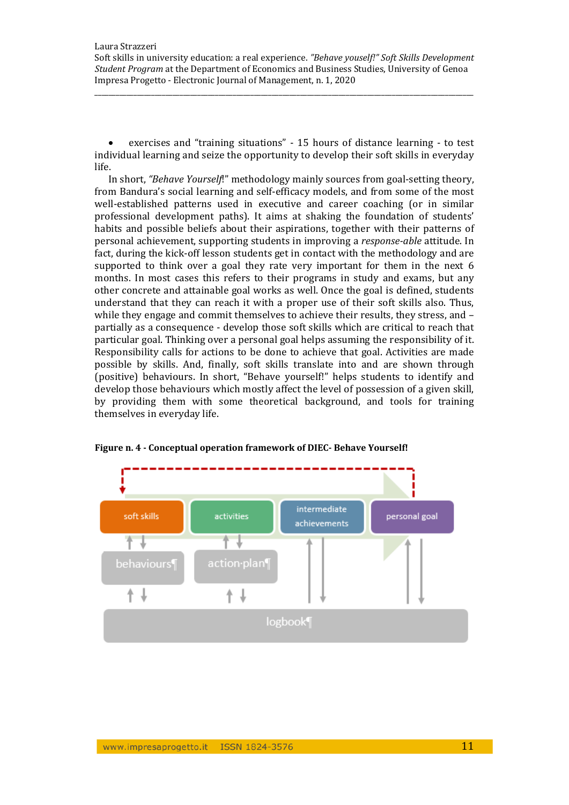exercises and "training situations" - 15 hours of distance learning - to test individual learning and seize the opportunity to develop their soft skills in everyday life. 

In short, *"Behave Yourself!"* methodology mainly sources from goal-setting theory, from Bandura's social learning and self-efficacy models, and from some of the most well-established patterns used in executive and career coaching (or in similar professional development paths). It aims at shaking the foundation of students' habits and possible beliefs about their aspirations, together with their patterns of personal achievement, supporting students in improving a *response-able* attitude. In fact, during the kick-off lesson students get in contact with the methodology and are supported to think over a goal they rate very important for them in the next 6 months. In most cases this refers to their programs in study and exams, but any other concrete and attainable goal works as well. Once the goal is defined, students understand that they can reach it with a proper use of their soft skills also. Thus, while they engage and commit themselves to achieve their results, they stress, and  $$ partially as a consequence - develop those soft skills which are critical to reach that particular goal. Thinking over a personal goal helps assuming the responsibility of it. Responsibility calls for actions to be done to achieve that goal. Activities are made possible by skills. And, finally, soft skills translate into and are shown through (positive) behaviours. In short, "Behave yourself!" helps students to identify and develop those behaviours which mostly affect the level of possession of a given skill, by providing them with some theoretical background, and tools for training themselves in everyday life.



## **Figure n. 4 ‐ Conceptual operation framework of DIEC‐ Behave Yourself!**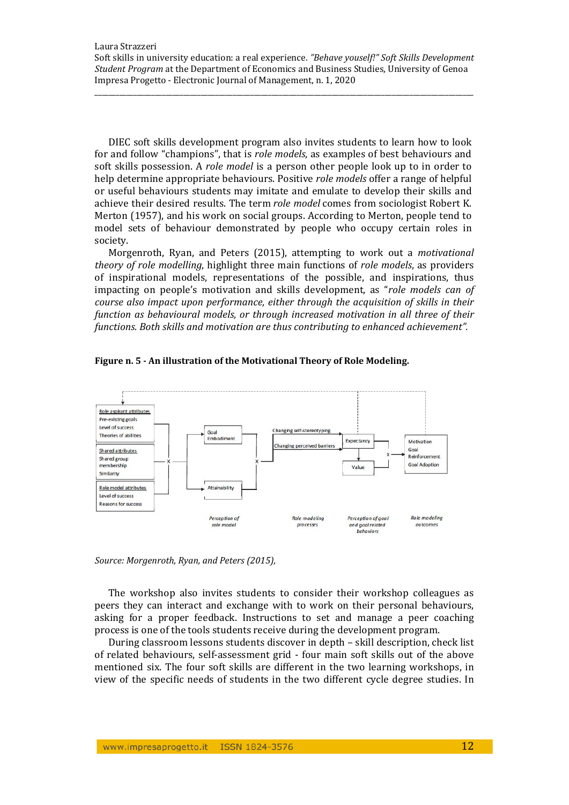Impresa Progetto - Electronic Journal of Management, n. 1, 2020

DIEC soft skills development program also invites students to learn how to look for and follow "champions", that is *role models*, as examples of best behaviours and soft skills possession. A *role model* is a person other people look up to in order to help determine appropriate behaviours. Positive *role models* offer a range of helpful or useful behaviours students may imitate and emulate to develop their skills and achieve their desired results. The term *role model* comes from sociologist Robert K. Merton (1957), and his work on social groups. According to Merton, people tend to model sets of behaviour demonstrated by people who occupy certain roles in society. 

\_\_\_\_\_\_\_\_\_\_\_\_\_\_\_\_\_\_\_\_\_\_\_\_\_\_\_\_\_\_\_\_\_\_\_\_\_\_\_\_\_\_\_\_\_\_\_\_\_\_\_\_\_\_\_\_\_\_\_\_\_\_\_\_\_\_\_\_\_\_\_\_\_\_\_\_\_\_\_\_\_\_\_\_\_\_\_\_\_\_\_\_\_\_\_\_\_\_\_\_\_\_\_\_\_\_\_

Morgenroth, Ryan, and Peters (2015), attempting to work out a *motivational theory of role modelling*, highlight three main functions of *role models*, as providers of inspirational models, representations of the possible, and inspirations, thus impacting on people's motivation and skills development, as "role models can of *course also impact upon performance, either through the acquisition of skills in their function as behavioural models, or through increased motivation in all three of their functions. Both skills and motivation are thus contributing to enhanced achievement".*





*Source: Morgenroth, Ryan, and Peters (2015),*

The workshop also invites students to consider their workshop colleagues as peers they can interact and exchange with to work on their personal behaviours, asking for a proper feedback. Instructions to set and manage a peer coaching process is one of the tools students receive during the development program.

During classroom lessons students discover in depth - skill description, check list of related behaviours, self-assessment grid - four main soft skills out of the above mentioned six. The four soft skills are different in the two learning workshops, in view of the specific needs of students in the two different cycle degree studies. In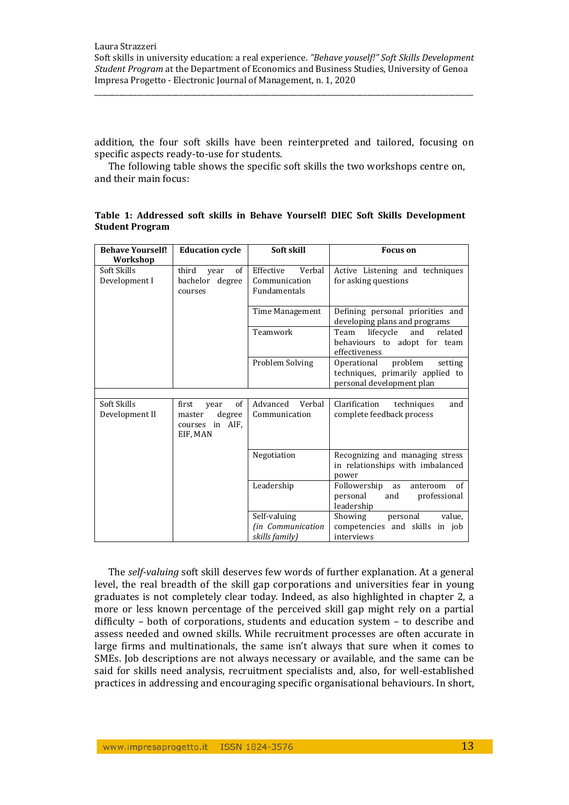\_\_\_\_\_\_\_\_\_\_\_\_\_\_\_\_\_\_\_\_\_\_\_\_\_\_\_\_\_\_\_\_\_\_\_\_\_\_\_\_\_\_\_\_\_\_\_\_\_\_\_\_\_\_\_\_\_\_\_\_\_\_\_\_\_\_\_\_\_\_\_\_\_\_\_\_\_\_\_\_\_\_\_\_\_\_\_\_\_\_\_\_\_\_\_\_\_\_\_\_\_\_\_\_\_\_\_

addition, the four soft skills have been reinterpreted and tailored, focusing on specific aspects ready-to-use for students.

The following table shows the specific soft skills the two workshops centre on, and their main focus:

| Table 1: Addressed soft skills in Behave Yourself! DIEC Soft Skills Development |  |  |  |  |
|---------------------------------------------------------------------------------|--|--|--|--|
| <b>Student Program</b>                                                          |  |  |  |  |

| <b>Behave Yourself!</b>       | <b>Education cycle</b>                                                 | Soft skill                                           | <b>Focus</b> on                                                                                    |  |
|-------------------------------|------------------------------------------------------------------------|------------------------------------------------------|----------------------------------------------------------------------------------------------------|--|
| Workshop                      |                                                                        |                                                      |                                                                                                    |  |
| Soft Skills<br>Development I  | third<br>of<br>year<br>bachelor degree<br>courses                      | Effective<br>Verbal<br>Communication<br>Fundamentals | Active Listening and techniques<br>for asking questions                                            |  |
|                               |                                                                        | Time Management                                      | Defining personal priorities and<br>developing plans and programs                                  |  |
|                               |                                                                        | Teamwork                                             | lifecycle<br>Team<br>and<br>related<br>behaviours to adopt for team<br>effectiveness               |  |
|                               |                                                                        | Problem Solving                                      | Operational<br>problem<br>setting<br>techniques, primarily applied to<br>personal development plan |  |
|                               |                                                                        |                                                      |                                                                                                    |  |
| Soft Skills<br>Development II | of<br>first<br>year<br>degree<br>master<br>courses in AIF,<br>EIF, MAN | Advanced<br>Verbal<br>Communication                  | Clarification<br>and<br>techniques<br>complete feedback process                                    |  |
|                               |                                                                        | Negotiation                                          | Recognizing and managing stress<br>in relationships with imbalanced<br>power                       |  |
|                               |                                                                        | Leadership                                           | Followership<br>of<br>as<br>anteroom<br>personal<br>and<br>professional<br>leadership              |  |
|                               |                                                                        | Self-valuing                                         | Showing<br>personal<br>value,                                                                      |  |
|                               |                                                                        | (in Communication<br>skills family)                  | competencies and skills in job<br>interviews                                                       |  |

The self-valuing soft skill deserves few words of further explanation. At a general level, the real breadth of the skill gap corporations and universities fear in young graduates is not completely clear today. Indeed, as also highlighted in chapter 2, a more or less known percentage of the perceived skill gap might rely on a partial difficulty - both of corporations, students and education system - to describe and assess needed and owned skills. While recruitment processes are often accurate in large firms and multinationals, the same isn't always that sure when it comes to SMEs. Job descriptions are not always necessary or available, and the same can be said for skills need analysis, recruitment specialists and, also, for well-established practices in addressing and encouraging specific organisational behaviours. In short,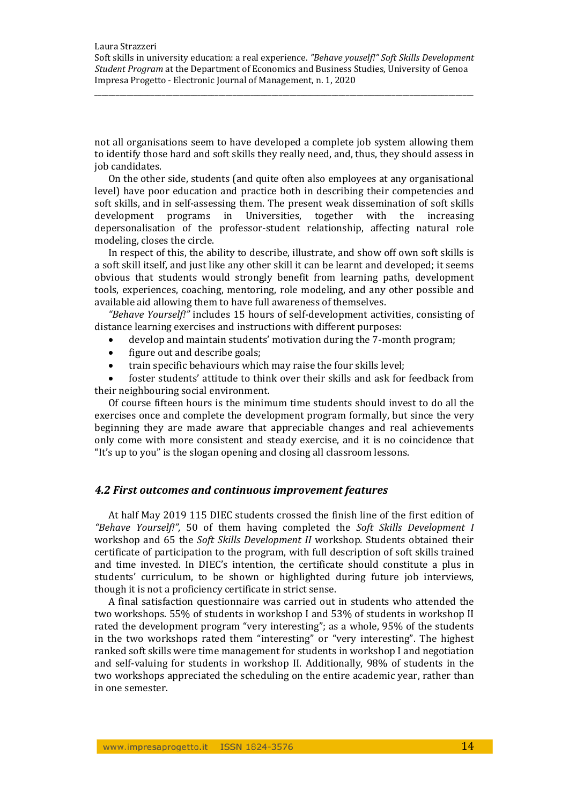\_\_\_\_\_\_\_\_\_\_\_\_\_\_\_\_\_\_\_\_\_\_\_\_\_\_\_\_\_\_\_\_\_\_\_\_\_\_\_\_\_\_\_\_\_\_\_\_\_\_\_\_\_\_\_\_\_\_\_\_\_\_\_\_\_\_\_\_\_\_\_\_\_\_\_\_\_\_\_\_\_\_\_\_\_\_\_\_\_\_\_\_\_\_\_\_\_\_\_\_\_\_\_\_\_\_\_

not all organisations seem to have developed a complete job system allowing them to identify those hard and soft skills they really need, and, thus, they should assess in iob candidates.

On the other side, students (and quite often also employees at any organisational level) have poor education and practice both in describing their competencies and soft skills, and in self-assessing them. The present weak dissemination of soft skills development programs in Universities, together with the increasing depersonalisation of the professor-student relationship, affecting natural role modeling, closes the circle.

In respect of this, the ability to describe, illustrate, and show off own soft skills is a soft skill itself, and just like any other skill it can be learnt and developed; it seems obvious that students would strongly benefit from learning paths, development tools, experiences, coaching, mentoring, role modeling, and any other possible and available aid allowing them to have full awareness of themselves.

*"Behave Yourself!"* includes 15 hours of self-development activities, consisting of distance learning exercises and instructions with different purposes:

- develop and maintain students' motivation during the 7-month program;
- figure out and describe goals;
- train specific behaviours which may raise the four skills level;

foster students' attitude to think over their skills and ask for feedback from their neighbouring social environment.

Of course fifteen hours is the minimum time students should invest to do all the exercises once and complete the development program formally, but since the very beginning they are made aware that appreciable changes and real achievements only come with more consistent and steady exercise, and it is no coincidence that "It's up to you" is the slogan opening and closing all classroom lessons.

## *4.2 First outcomes and continuous improvement features*

At half May 2019 115 DIEC students crossed the finish line of the first edition of *"Behave Yourself!",* 50 of them having completed the *Soft Skills Development I* workshop and 65 the *Soft Skills Development II* workshop. Students obtained their certificate of participation to the program, with full description of soft skills trained and time invested. In DIEC's intention, the certificate should constitute a plus in students' curriculum, to be shown or highlighted during future job interviews, though it is not a proficiency certificate in strict sense.

A final satisfaction questionnaire was carried out in students who attended the two workshops. 55% of students in workshop I and 53% of students in workshop II rated the development program "very interesting"; as a whole, 95% of the students in the two workshops rated them "interesting" or "very interesting". The highest ranked soft skills were time management for students in workshop I and negotiation and self-valuing for students in workshop II. Additionally, 98% of students in the two workshops appreciated the scheduling on the entire academic vear, rather than in one semester.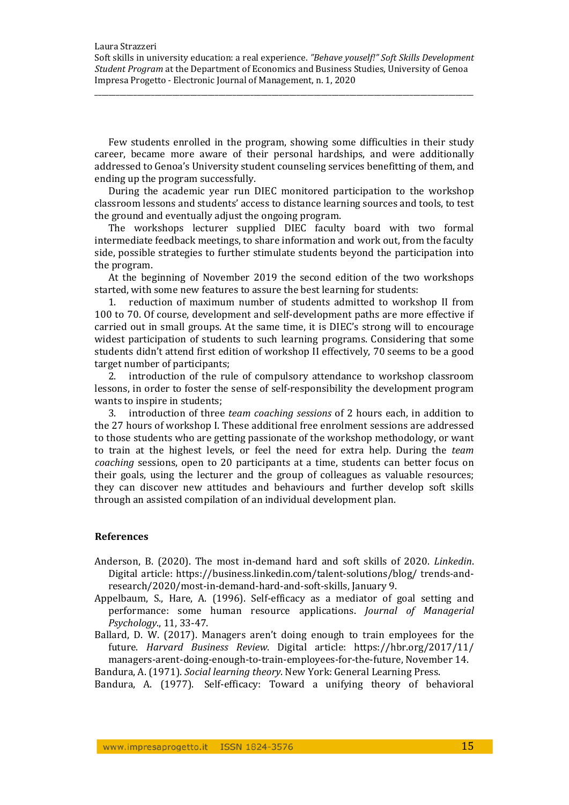\_\_\_\_\_\_\_\_\_\_\_\_\_\_\_\_\_\_\_\_\_\_\_\_\_\_\_\_\_\_\_\_\_\_\_\_\_\_\_\_\_\_\_\_\_\_\_\_\_\_\_\_\_\_\_\_\_\_\_\_\_\_\_\_\_\_\_\_\_\_\_\_\_\_\_\_\_\_\_\_\_\_\_\_\_\_\_\_\_\_\_\_\_\_\_\_\_\_\_\_\_\_\_\_\_\_\_

Few students enrolled in the program, showing some difficulties in their study career, became more aware of their personal hardships, and were additionally addressed to Genoa's University student counseling services benefitting of them, and ending up the program successfully.

During the academic year run DIEC monitored participation to the workshop classroom lessons and students' access to distance learning sources and tools, to test the ground and eventually adjust the ongoing program.

The workshops lecturer supplied DIEC faculty board with two formal intermediate feedback meetings, to share information and work out, from the faculty side, possible strategies to further stimulate students beyond the participation into the program.

At the beginning of November 2019 the second edition of the two workshops started, with some new features to assure the best learning for students:

1. reduction of maximum number of students admitted to workshop II from 100 to 70. Of course, development and self-development paths are more effective if carried out in small groups. At the same time, it is DIEC's strong will to encourage widest participation of students to such learning programs. Considering that some students didn't attend first edition of workshop II effectively. 70 seems to be a good target number of participants;

2. introduction of the rule of compulsory attendance to workshop classroom lessons, in order to foster the sense of self-responsibility the development program wants to inspire in students;

3. introduction of three *team coaching sessions* of 2 hours each, in addition to the 27 hours of workshop I. These additional free enrolment sessions are addressed to those students who are getting passionate of the workshop methodology, or want to train at the highest levels, or feel the need for extra help. During the *team coaching* sessions, open to 20 participants at a time, students can better focus on their goals, using the lecturer and the group of colleagues as valuable resources; they can discover new attitudes and behaviours and further develop soft skills through an assisted compilation of an individual development plan.

## **References**

- Anderson, B. (2020). The most in-demand hard and soft skills of 2020. *Linkedin*. Digital article: https://business.linkedin.com/talent-solutions/blog/ trends-andresearch/2020/most-in-demand-hard-and-soft-skills, January 9.
- Appelbaum, S., Hare, A. (1996). Self-efficacy as a mediator of goal setting and performance: some human resource applications. *Journal of Managerial Psychology*., 11, 33‐47.
- Ballard, D. W.  $(2017)$ . Managers aren't doing enough to train employees for the future. *Harvard Business Review*. Digital article: https://hbr.org/2017/11/ managers-arent-doing-enough-to-train-employees-for-the-future, November 14.

Bandura, A. (1971). *Social learning theory*. New York: General Learning Press.

Bandura, A. (1977). Self-efficacy: Toward a unifying theory of behavioral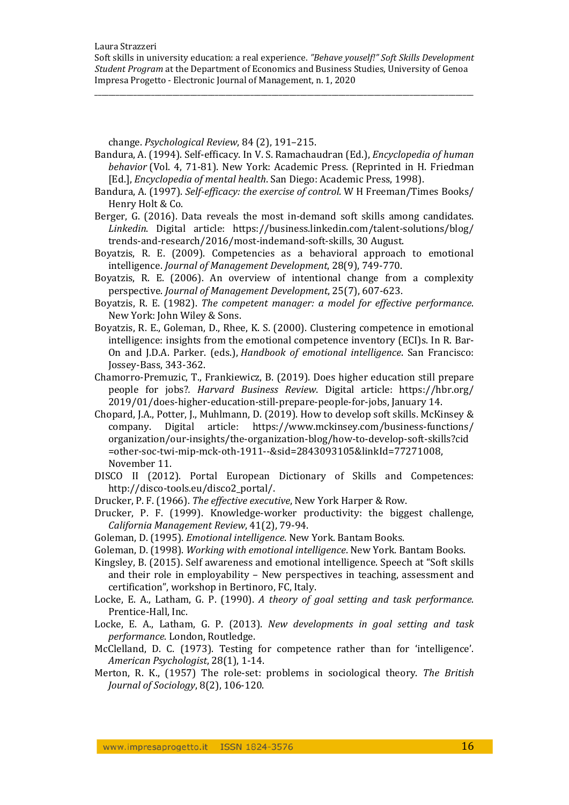\_\_\_\_\_\_\_\_\_\_\_\_\_\_\_\_\_\_\_\_\_\_\_\_\_\_\_\_\_\_\_\_\_\_\_\_\_\_\_\_\_\_\_\_\_\_\_\_\_\_\_\_\_\_\_\_\_\_\_\_\_\_\_\_\_\_\_\_\_\_\_\_\_\_\_\_\_\_\_\_\_\_\_\_\_\_\_\_\_\_\_\_\_\_\_\_\_\_\_\_\_\_\_\_\_\_\_

change. *Psychological Review*, 84 (2), 191–215. 

- Bandura, A. (1994). Self-efficacy. In V. S. Ramachaudran (Ed.), *Encyclopedia of human behavior* (Vol. 4, 71-81). New York: Academic Press. (Reprinted in H. Friedman [Ed.], *Encyclopedia of mental health*. San Diego: Academic Press, 1998).
- Bandura, A. (1997). *Self-efficacy: the exercise of control*. W H Freeman/Times Books/ Henry Holt & Co.
- Berger, G.  $(2016)$ . Data reveals the most in-demand soft skills among candidates. *Linkedin*. Digital article: https://business.linkedin.com/talent‐solutions/blog/ trends-and-research/2016/most-indemand-soft-skills, 30 August.
- Boyatzis, R. E. (2009). Competencies as a behavioral approach to emotional intelligence. *Journal of Management Development*, 28(9), 749‐770.
- Boyatzis, R. E. (2006). An overview of intentional change from a complexity perspective. *Journal of Management Development*, 25(7), 607‐623.
- Boyatzis, R. E. (1982). *The competent manager: a model for effective performance*. New York: John Wiley & Sons.
- Boyatzis, R. E., Goleman, D., Rhee, K. S. (2000). Clustering competence in emotional intelligence: insights from the emotional competence inventory (ECI)s. In R. Bar-On and J.D.A. Parker. (eds.), *Handbook of emotional intelligence*. San Francisco: Jossey-Bass, 343-362.
- Chamorro-Premuzic, T., Frankiewicz, B. (2019). Does higher education still prepare people for jobs?*. Harvard Business Review*. Digital article: https://hbr.org/ 2019/01/does-higher-education-still-prepare-people-for-jobs, January 14.
- Chopard, J.A., Potter, J., Muhlmann, D. (2019). How to develop soft skills. McKinsey  $\&$ company. Digital article: https://www.mckinsey.com/business-functions/ organization/our‐insights/the‐organization‐blog/how‐to‐develop‐soft‐skills?cid =other‐soc‐twi‐mip‐mck‐oth‐1911‐‐&sid=2843093105&linkId=77271008, November 11.
- DISCO II (2012). Portal European Dictionary of Skills and Competences: http://disco-tools.eu/disco2\_portal/.
- Drucker, P. F. (1966). The effective executive, New York Harper & Row.
- Drucker, P. F. (1999). Knowledge-worker productivity: the biggest challenge, *California Management Review*, 41(2), 79‐94.
- Goleman, D. (1995). *Emotional intelligence*. New York. Bantam Books.
- Goleman, D. (1998). *Working with emotional intelligence*. New York. Bantam Books.
- Kingsley, B. (2015). Self awareness and emotional intelligence. Speech at "Soft skills and their role in employability  $-$  New perspectives in teaching, assessment and certification", workshop in Bertinoro, FC, Italy.
- Locke, E. A., Latham, G. P. (1990). *A theory of goal setting and task performance*. Prentice-Hall, Inc.
- Locke, E. A., Latham, G. P. (2013). *New developments in goal setting and task performance*. London, Routledge.
- McClelland, D. C. (1973). Testing for competence rather than for 'intelligence'. *American Psychologist*, 28(1), 1‐14.
- Merton, R. K., (1957) The role-set: problems in sociological theory. *The British Journal of Sociology*, 8(2), 106‐120.